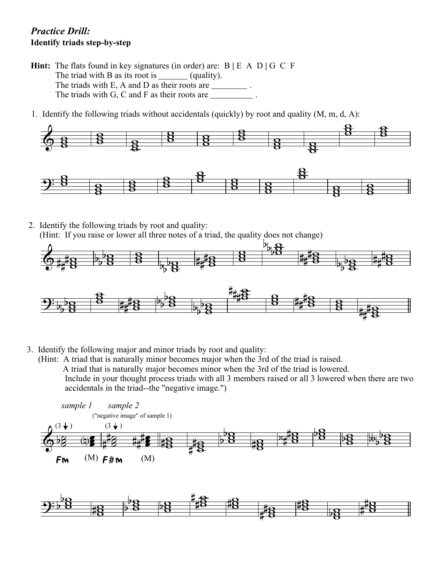## *Practice Drill:* **Identify triads step-by-step**

- **Hint:** The flats found in key signatures (in order) are: B **|** E A D **|** G C F The triad with B as its root is (quality). The triads with E, A and D as their roots are . The triads with G, C and F as their roots are .
- 1. Identify the following triads without accidentals (quickly) by root and quality (M, m, d, A):



- 2. Identify the following triads by root and quality:
	- (Hint: If you raise or lower all three notes of a triad, the quality does not change)



- 3. Identify the following major and minor triads by root and quality:
	- (Hint: A triad that is naturally minor becomes major when the 3rd of the triad is raised. A triad that is naturally major becomes minor when the 3rd of the triad is lowered. Include in your thought process triads with all 3 members raised or all 3 lowered when there are two accidentals in the triad--the "negative image.")